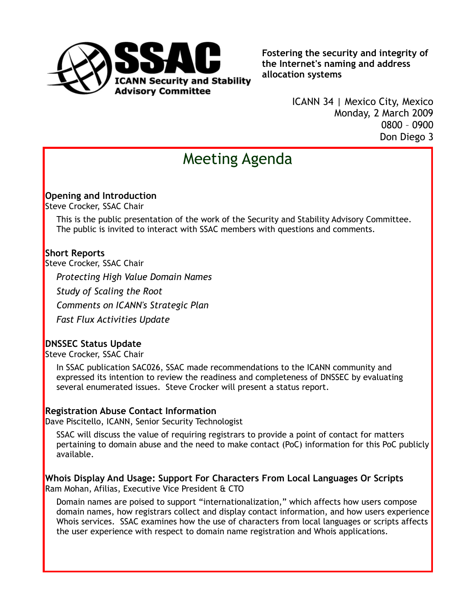

**Fostering the security and integrity of the Internet's naming and address allocation systems**

> ICANN 34 | Mexico City, Mexico Monday, 2 March 2009 0800 – 0900 Don Diego 3

# Meeting Agenda

### **Opening and Introduction**

Steve Crocker, SSAC Chair

This is the public presentation of the work of the Security and Stability Advisory Committee. The public is invited to interact with SSAC members with questions and comments.

## **Short Reports**

Steve Crocker, SSAC Chair

*Protecting High Value Domain Names Study of Scaling the Root Comments on ICANN's Strategic Plan Fast Flux Activities Update*

# **DNSSEC Status Update**

Steve Crocker, SSAC Chair

In SSAC publication SAC026, SSAC made recommendations to the ICANN community and expressed its intention to review the readiness and completeness of DNSSEC by evaluating several enumerated issues. Steve Crocker will present a status report.

#### **Registration Abuse Contact Information**

Dave Piscitello, ICANN, Senior Security Technologist

SSAC will discuss the value of requiring registrars to provide a point of contact for matters pertaining to domain abuse and the need to make contact (PoC) information for this PoC publicly available.

**Whois Display And Usage: Support For Characters From Local Languages Or Scripts** Ram Mohan, Afilias, Executive Vice President & CTO

Domain names are poised to support "internationalization," which affects how users compose domain names, how registrars collect and display contact information, and how users experience Whois services. SSAC examines how the use of characters from local languages or scripts affects the user experience with respect to domain name registration and Whois applications.